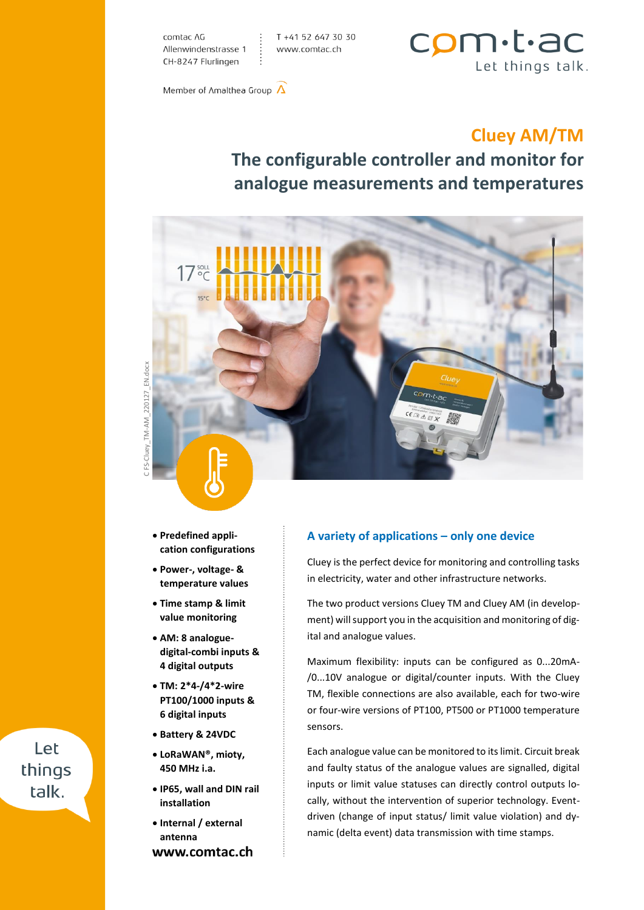comtac AG Allenwindenstrasse 1 CH-8247 Flurlingen

T +41 52 647 30 30 www.comtac.ch



Member of Amalthea Group  $\Lambda$ 

## **Cluey AM/TM**

# **The configurable controller and monitor for analogue measurements and temperatures**



C FS-Cluey\_TM-AM\_220127\_EN.docxEN.docx 220127 Cluey\_TM-AM

- **Predefined application configurations**
- **Power-, voltage- & temperature values**
- **Time stamp & limit value monitoring**
- **AM: 8 analoguedigital-combi inputs & 4 digital outputs**
- **TM: 2\*4-/4\*2-wire PT100/1000 inputs & 6 digital inputs**
- **Battery & 24VDC**
- **LoRaWAN®, mioty, 450 MHz i.a.**
- **IP65, wall and DIN rail installation**
- **Internal / external antenna** www.comtac.ch

#### **A variety of applications – only one device**

Cluey is the perfect device for monitoring and controlling tasks in electricity, water and other infrastructure networks.

The two product versions Cluey TM and Cluey AM (in development) will support you in the acquisition and monitoring of digital and analogue values.

Maximum flexibility: inputs can be configured as 0...20mA- /0...10V analogue or digital/counter inputs. With the Cluey TM, flexible connections are also available, each for two-wire or four-wire versions of PT100, PT500 or PT1000 temperature sensors.

Each analogue value can be monitored to its limit. Circuit break and faulty status of the analogue values are signalled, digital inputs or limit value statuses can directly control outputs locally, without the intervention of superior technology. Eventdriven (change of input status/ limit value violation) and dynamic (delta event) data transmission with time stamps.

# C FS-Club<br>C FS-Club<br>C Let things talk.